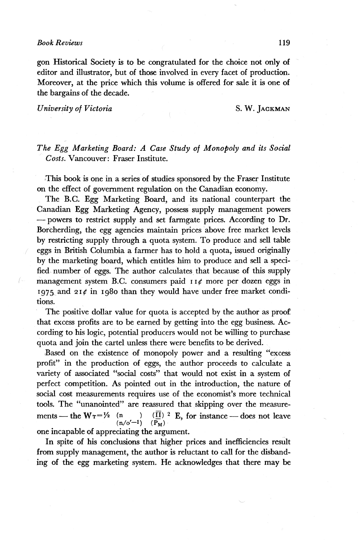$\left( \cdot \right)$ 

gon Historical Society is to be congratulated for the choice not only of editor and illustrator, but of those involved in every facet of production. Moreover, at the price which this volume is offered for sale it is one of the bargains of the decade.

*University of Victoria* S. W. JAGKMAN

*The Egg Marketing Board: A Case Study of Monopoly and its Social Costs.* Vancouver: Fraser Institute.

This book is one in a series of studies sponsored by the Fraser Institute on the effect of government regulation on the Canadian economy.

The B.C. Egg Marketing Board, and its national counterpart the Canadian Egg Marketing Agency, possess supply management powers — powers to restrict supply and set farmgate prices. According to Dr. Borcherding, the egg agencies maintain prices above free market levels by restricting supply through a quota system. To produce and sell table eggs in British Columbia a farmer has to hold a quota, issued originally by the marketing board, which entitles him to produce and sell a specified number of eggs. The author calculates that because of this supply management system B.C. consumers paid  $\iota \iota \phi$  more per dozen eggs in 1975 and 21 $\rlap{/}$  in 1980 than they would have under free market conditions.

The positive dollar value for quota is accepted by the author as proof. that excess profits are to be earned by getting into the egg business. According to his logic, potential producers would not be willing to purchase quota and join the cartel unless there were benefits to be derived.

Based on the existence of monopoly power and a resulting "excess profit" in the production of eggs, the author proceeds to calculate a variety of associated "social costs" that would not exist in a system of perfect competition. As pointed out in the introduction, the nature of social cost measurements requires use of the economist's more technical tools. The "unanointed" are reassured that skipping over the measurements — the  $W_T = \frac{1}{2}$  (n )  $(\mathbf{I})^2$  E, for instance — does not leave  $(\vec{P_M})$   $(\vec{P_M})$ one incapable of appreciating the argument.

In spite of his conclusions that higher prices and inefficiencies result from supply management, the author is reluctant to call for the disbanding of the egg marketing system. He acknowledges that there may be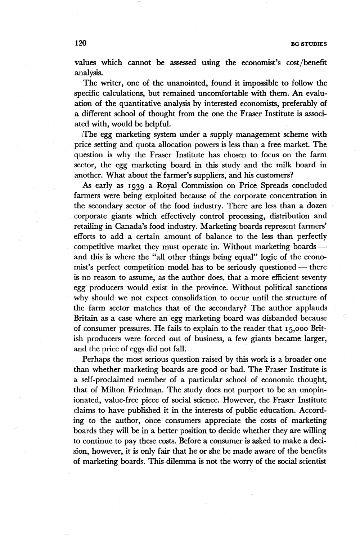values which cannot be assessed using the economist's cost/benefit analysis.

The writer, one of the unanointed, found it impossible to follow the specific calculations, but remained uncomfortable with them. An evaluation of the quantitative analysis by interested economists, preferably of a different school of thought from the one the Fraser Institute is associated with, would be helpful.

(The egg marketing system under a supply management scheme with price setting and quota allocation powers is less than a free market. The question is why the Fraser Institute has chosen to focus on the farm sector, the egg marketing board in this study and the milk board in another. What about the farmer's suppliers, and his customers?

As early as 1939 a Royal Commission on Price Spreads concluded farmers were being exploited because of the corporate concentration in the secondary sector of the food industry. There are less than a dozen corporate giants which effectively control processing, distribution and retailing in Canada's food industry. Marketing boards represent farmers' efforts to add a certain amount of balance to the less than perfectly competitive market they must operate in. Without marketing boards and this is where the "all other things being equal" logic of the economist's perfect competition model has to be seriously questioned — there is no reason to assume, as the author does, that a more efficient seventy egg producers would exist in the province. Without political sanctions why should we not expect consolidation to occur until the structure of the farm sector matches that of the secondary? The author applauds Britain as a case where an egg marketing board was disbanded because of consumer pressures. He fails to explain to the reader that 15,000 British producers were forced out of business, a few giants became larger, and the price of eggs did not fall.

Perhaps the most serious question raised by this work is a broader one than whether marketing boards are good or bad. The Fraser Institute is a self-proclaimed member of a particular school of economic thought, that of Milton Friedman. The study does not purport to be an unopinionated, value-free piece of social science. However, the Fraser Institute claims to have published it in the interests of public education. According to the author, once consumers appreciate the costs of marketing boards they will be in a better position to decide whether they are willing to continue to pay these costs. Before a consumer is asked to make a decision, however, it is only fair that he or she be made aware of the benefits of marketing boards. This dilemma is not the worry of the social scientist